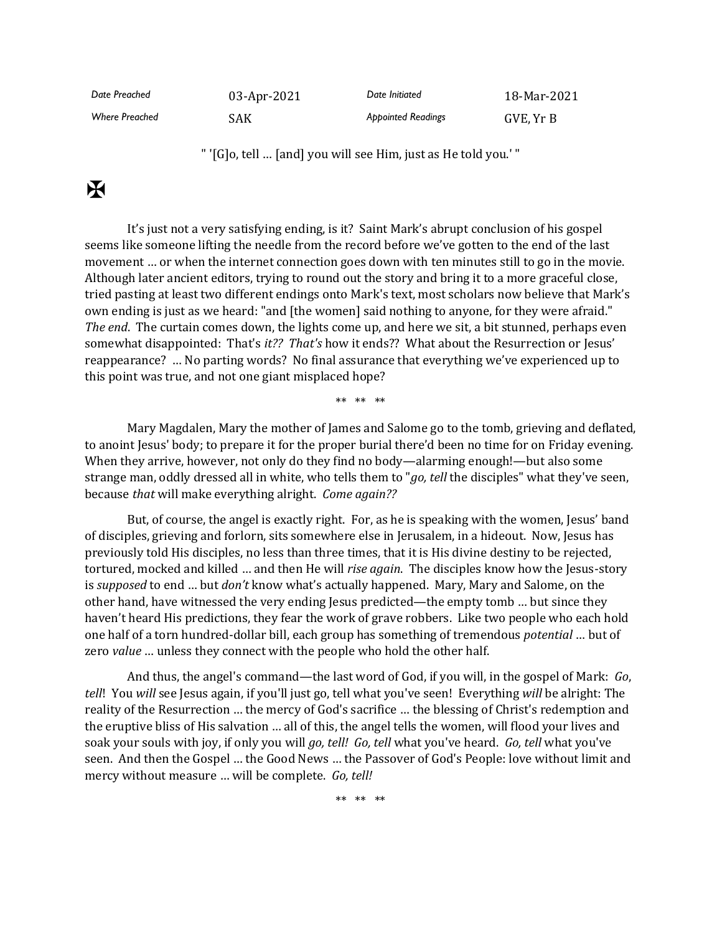| Date Preached         | $03$ -Apr-2021 | Date Initiated            | 18-Mar-2021 |
|-----------------------|----------------|---------------------------|-------------|
| <b>Where Preached</b> | SAK.           | <b>Abbointed Readings</b> | GVE, Yr B   |

" '[G]o, tell … [and] you will see Him, just as He told you.' "

## $\mathbf H$

It's just not a very satisfying ending, is it? Saint Mark's abrupt conclusion of his gospel seems like someone lifting the needle from the record before we've gotten to the end of the last movement … or when the internet connection goes down with ten minutes still to go in the movie. Although later ancient editors, trying to round out the story and bring it to a more graceful close, tried pasting at least two different endings onto Mark's text, most scholars now believe that Mark's own ending is just as we heard: "and [the women] said nothing to anyone, for they were afraid." *The end*. The curtain comes down, the lights come up, and here we sit, a bit stunned, perhaps even somewhat disappointed: That's *it?? That's* how it ends?? What about the Resurrection or Jesus' reappearance? … No parting words? No final assurance that everything we've experienced up to this point was true, and not one giant misplaced hope?

\*\* \*\* \*\*

Mary Magdalen, Mary the mother of James and Salome go to the tomb, grieving and deflated, to anoint Jesus' body; to prepare it for the proper burial there'd been no time for on Friday evening. When they arrive, however, not only do they find no body—alarming enough!—but also some strange man, oddly dressed all in white, who tells them to "*go, tell* the disciples" what they've seen, because *that* will make everything alright. *Come again??*

But, of course, the angel is exactly right. For, as he is speaking with the women, Jesus' band of disciples, grieving and forlorn, sits somewhere else in Jerusalem, in a hideout. Now, Jesus has previously told His disciples, no less than three times, that it is His divine destiny to be rejected, tortured, mocked and killed … and then He will *rise again*. The disciples know how the Jesus-story is *supposed* to end … but *don't* know what's actually happened. Mary, Mary and Salome, on the other hand, have witnessed the very ending Jesus predicted—the empty tomb … but since they haven't heard His predictions, they fear the work of grave robbers. Like two people who each hold one half of a torn hundred-dollar bill, each group has something of tremendous *potential* … but of zero *value* … unless they connect with the people who hold the other half.

And thus, the angel's command—the last word of God, if you will, in the gospel of Mark: *Go*, *tell*! You *will* see Jesus again, if you'll just go, tell what you've seen! Everything *will* be alright: The reality of the Resurrection … the mercy of God's sacrifice … the blessing of Christ's redemption and the eruptive bliss of His salvation … all of this, the angel tells the women, will flood your lives and soak your souls with joy, if only you will *go, tell! Go, tell* what you've heard. *Go, tell* what you've seen. And then the Gospel … the Good News … the Passover of God's People: love without limit and mercy without measure … will be complete. *Go, tell!*

\*\* \*\* \*\*